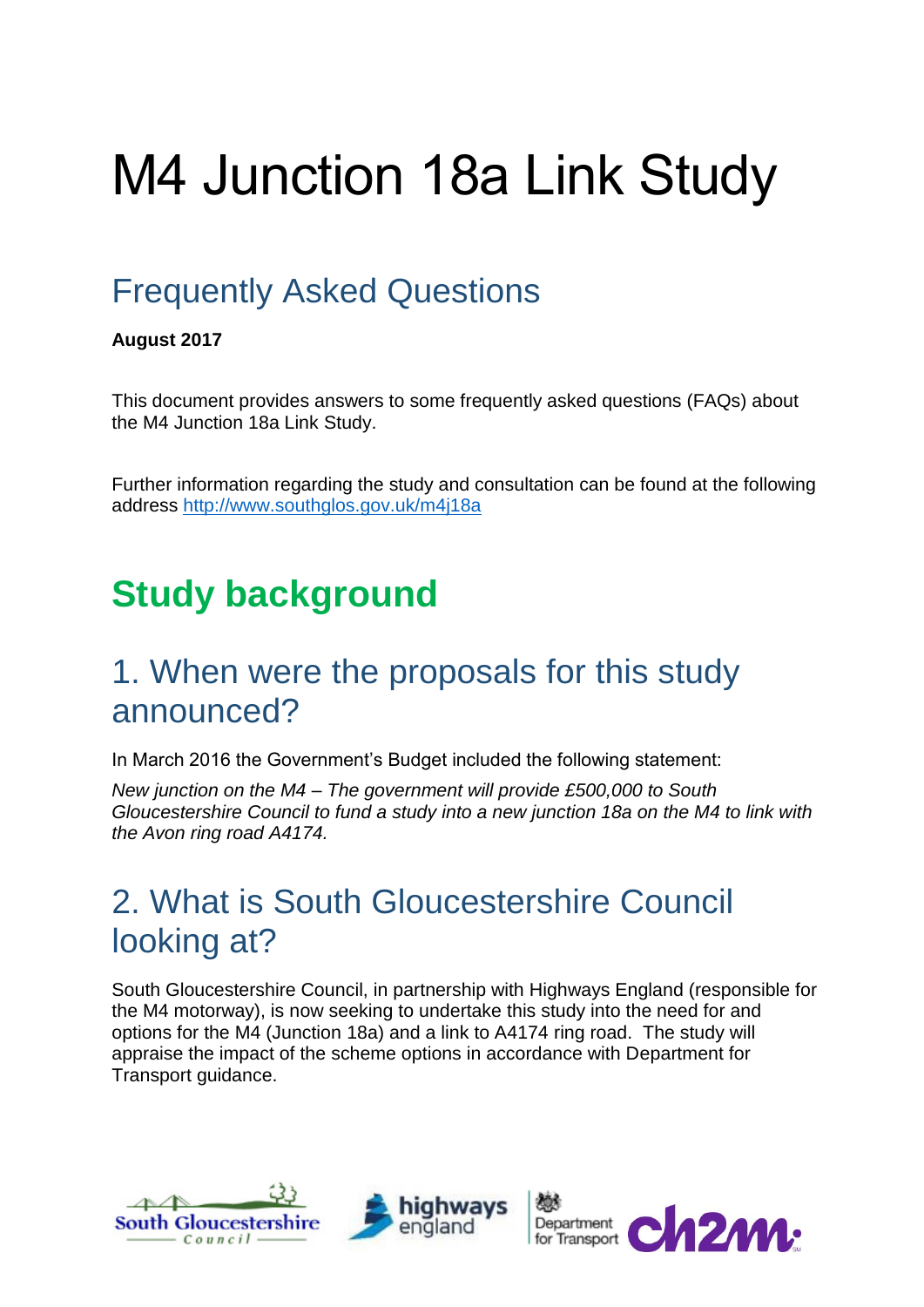# M4 Junction 18a Link Study

## Frequently Asked Questions

#### **August 2017**

This document provides answers to some frequently asked questions (FAQs) about the M4 Junction 18a Link Study.

Further information regarding the study and consultation can be found at the following address<http://www.southglos.gov.uk/m4j18a>

## **Study background**

#### 1. When were the proposals for this study announced?

In March 2016 the Government's Budget included the following statement:

*New junction on the M4 – The government will provide £500,000 to South Gloucestershire Council to fund a study into a new junction 18a on the M4 to link with the Avon ring road A4174.*

#### 2. What is South Gloucestershire Council looking at?

South Gloucestershire Council, in partnership with Highways England (responsible for the M4 motorway), is now seeking to undertake this study into the need for and options for the M4 (Junction 18a) and a link to A4174 ring road. The study will appraise the impact of the scheme options in accordance with Department for Transport guidance.





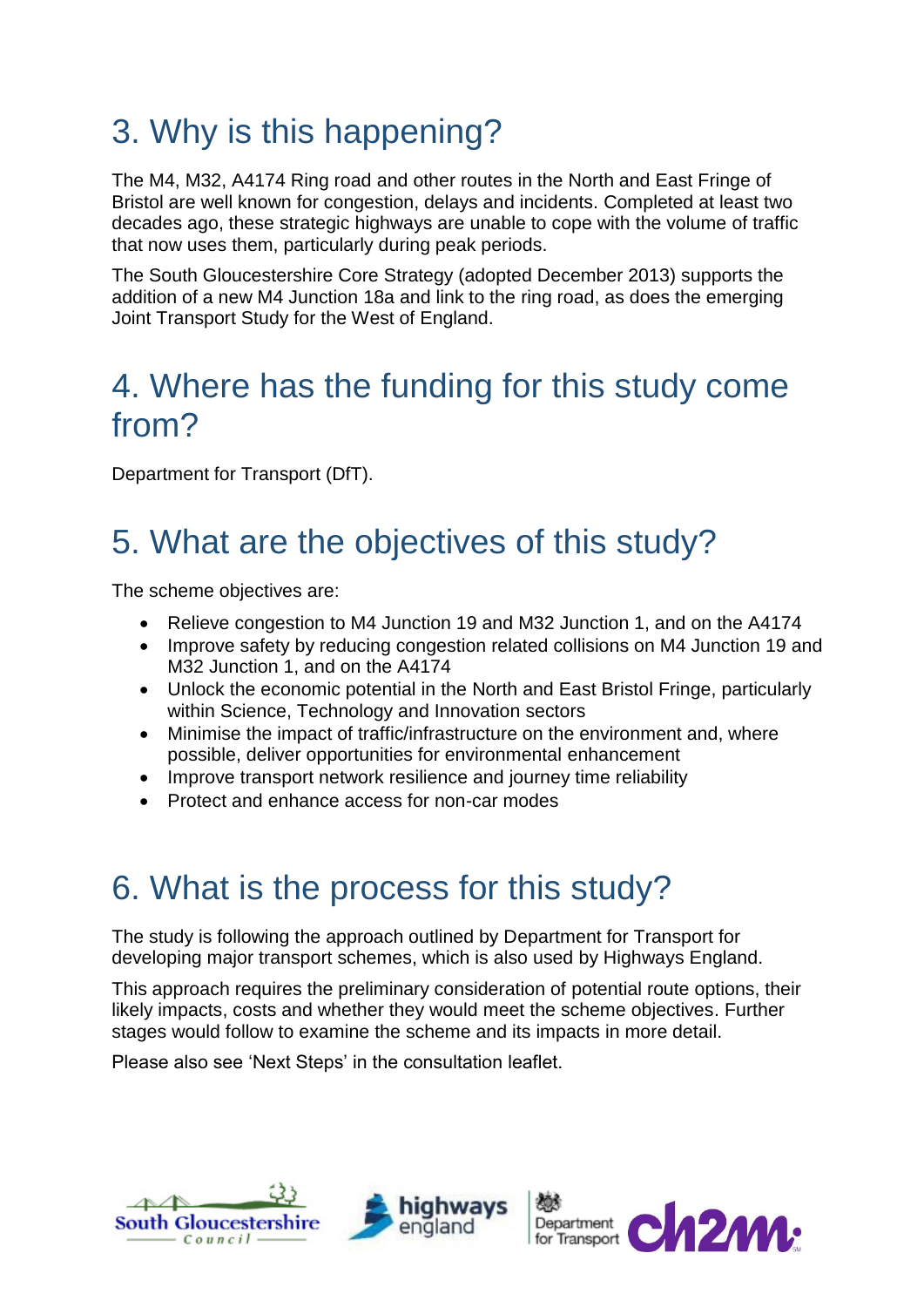## 3. Why is this happening?

The M4, M32, A4174 Ring road and other routes in the North and East Fringe of Bristol are well known for congestion, delays and incidents. Completed at least two decades ago, these strategic highways are unable to cope with the volume of traffic that now uses them, particularly during peak periods.

The South Gloucestershire Core Strategy (adopted December 2013) supports the addition of a new M4 Junction 18a and link to the ring road, as does the emerging Joint Transport Study for the West of England.

#### 4. Where has the funding for this study come from?

Department for Transport (DfT).

## 5. What are the objectives of this study?

The scheme objectives are:

- Relieve congestion to M4 Junction 19 and M32 Junction 1, and on the A4174
- Improve safety by reducing congestion related collisions on M4 Junction 19 and M32 Junction 1, and on the A4174
- Unlock the economic potential in the North and East Bristol Fringe, particularly within Science, Technology and Innovation sectors
- Minimise the impact of traffic/infrastructure on the environment and, where possible, deliver opportunities for environmental enhancement
- Improve transport network resilience and journey time reliability
- Protect and enhance access for non-car modes

#### 6. What is the process for this study?

The study is following the approach outlined by Department for Transport for developing major transport schemes, which is also used by Highways England.

This approach requires the preliminary consideration of potential route options, their likely impacts, costs and whether they would meet the scheme objectives. Further stages would follow to examine the scheme and its impacts in more detail.

Please also see 'Next Steps' in the consultation leaflet.





Department **CA2M**: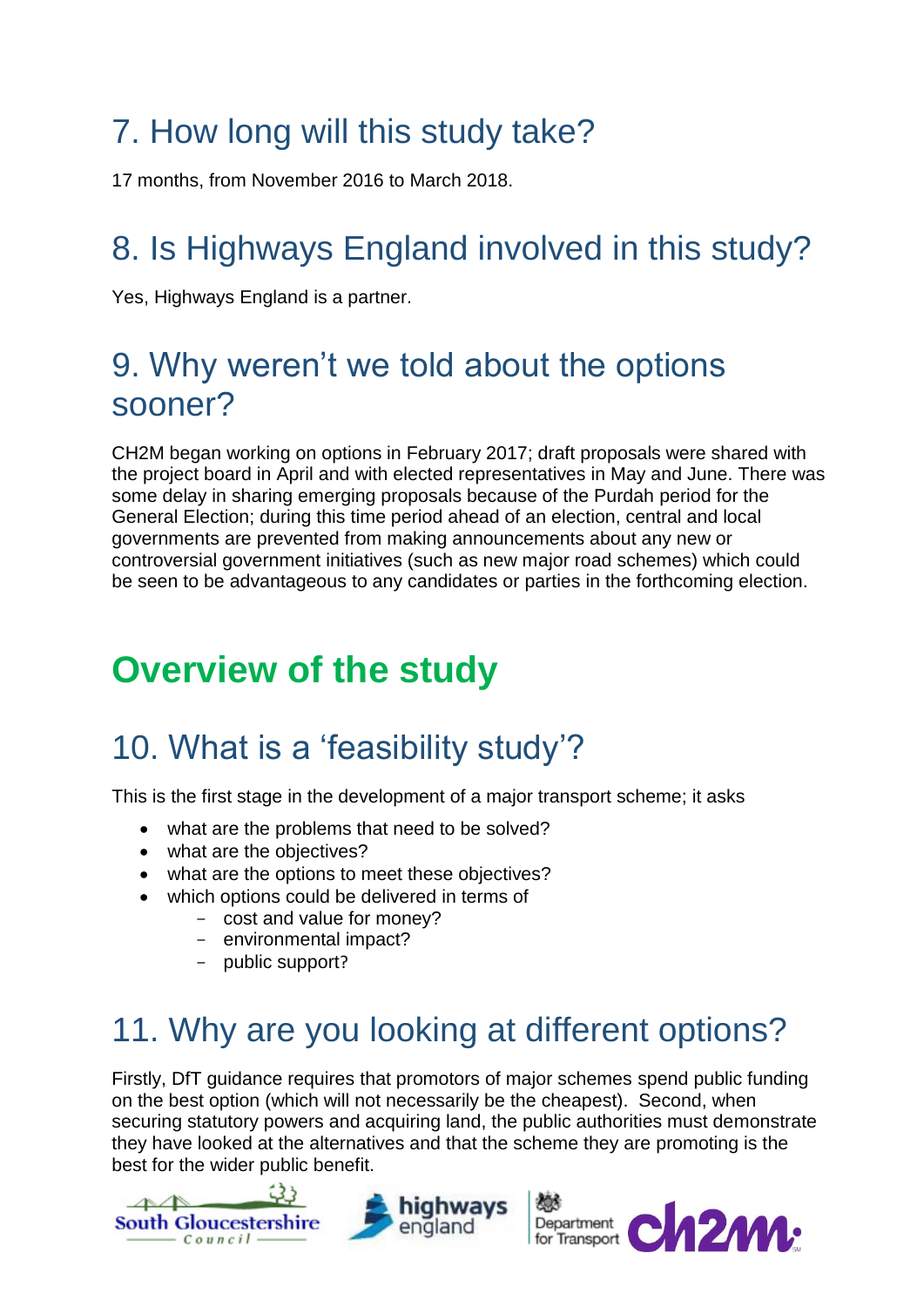## 7. How long will this study take?

17 months, from November 2016 to March 2018.

## 8. Is Highways England involved in this study?

Yes, Highways England is a partner.

#### 9. Why weren't we told about the options sooner?

CH2M began working on options in February 2017; draft proposals were shared with the project board in April and with elected representatives in May and June. There was some delay in sharing emerging proposals because of the Purdah period for the General Election; during this time period ahead of an election, central and local governments are prevented from making announcements about any new or controversial government initiatives (such as new major road schemes) which could be seen to be advantageous to any candidates or parties in the forthcoming election.

## **Overview of the study**

## 10. What is a 'feasibility study'?

This is the first stage in the development of a major transport scheme; it asks

- what are the problems that need to be solved?
- what are the objectives?
- what are the options to meet these objectives?
- which options could be delivered in terms of
	- cost and value for money?
		- environmental impact?
		- public support?

## 11. Why are you looking at different options?

Firstly, DfT guidance requires that promotors of major schemes spend public funding on the best option (which will not necessarily be the cheapest). Second, when securing statutory powers and acquiring land, the public authorities must demonstrate they have looked at the alternatives and that the scheme they are promoting is the best for the wider public benefit.





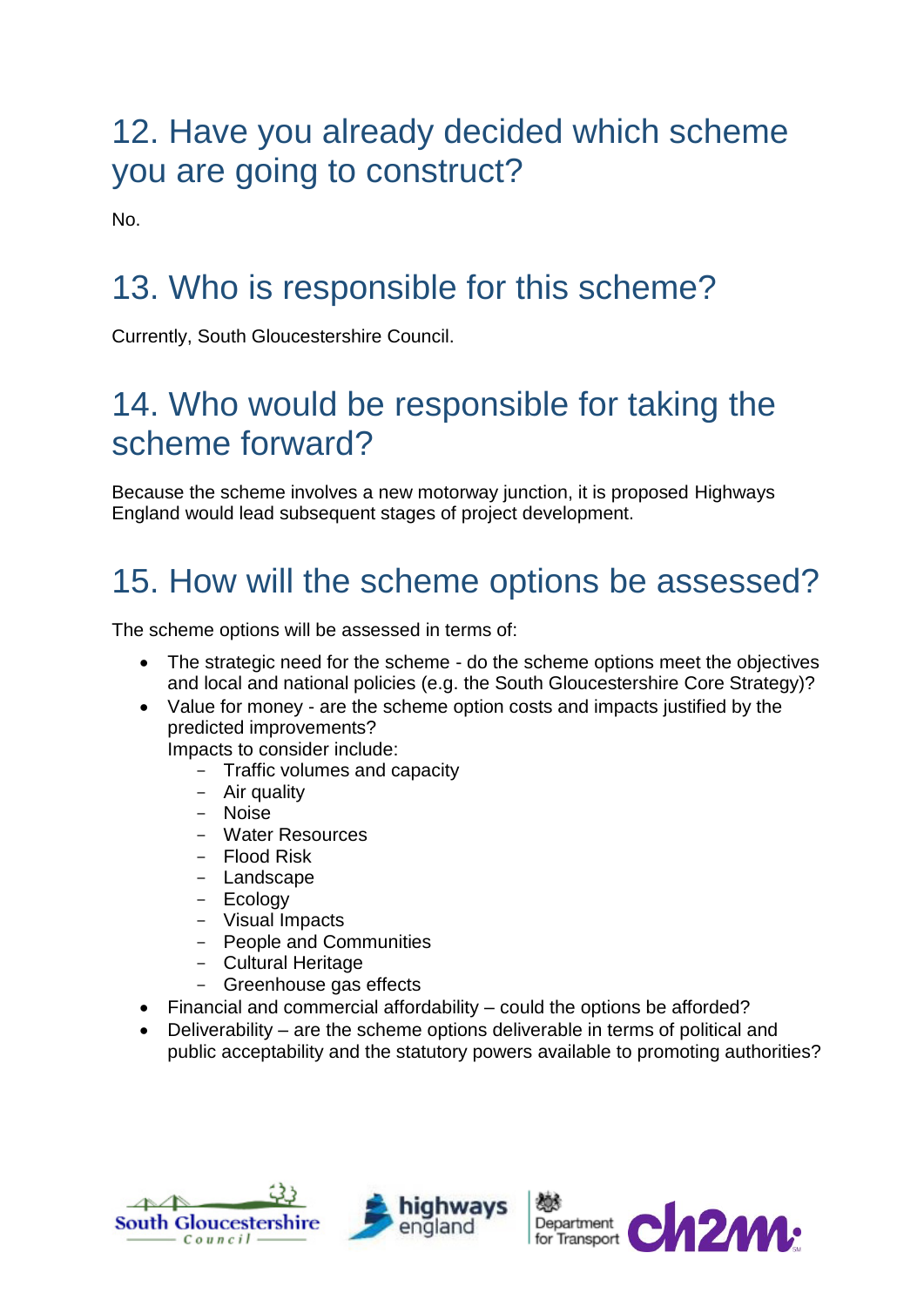### 12. Have you already decided which scheme you are going to construct?

No.

## 13. Who is responsible for this scheme?

Currently, South Gloucestershire Council.

## 14. Who would be responsible for taking the scheme forward?

Because the scheme involves a new motorway junction, it is proposed Highways England would lead subsequent stages of project development.

## 15. How will the scheme options be assessed?

The scheme options will be assessed in terms of:

- The strategic need for the scheme do the scheme options meet the objectives and local and national policies (e.g. the South Gloucestershire Core Strategy)?
- Value for money are the scheme option costs and impacts justified by the predicted improvements?

Impacts to consider include:

- Traffic volumes and capacity
- Air quality
- Noise
- Water Resources
- Flood Risk
- Landscape
- Ecology
- Visual Impacts
- People and Communities
- Cultural Heritage
- Greenhouse gas effects
- Financial and commercial affordability could the options be afforded?
- Deliverability are the scheme options deliverable in terms of political and public acceptability and the statutory powers available to promoting authorities?





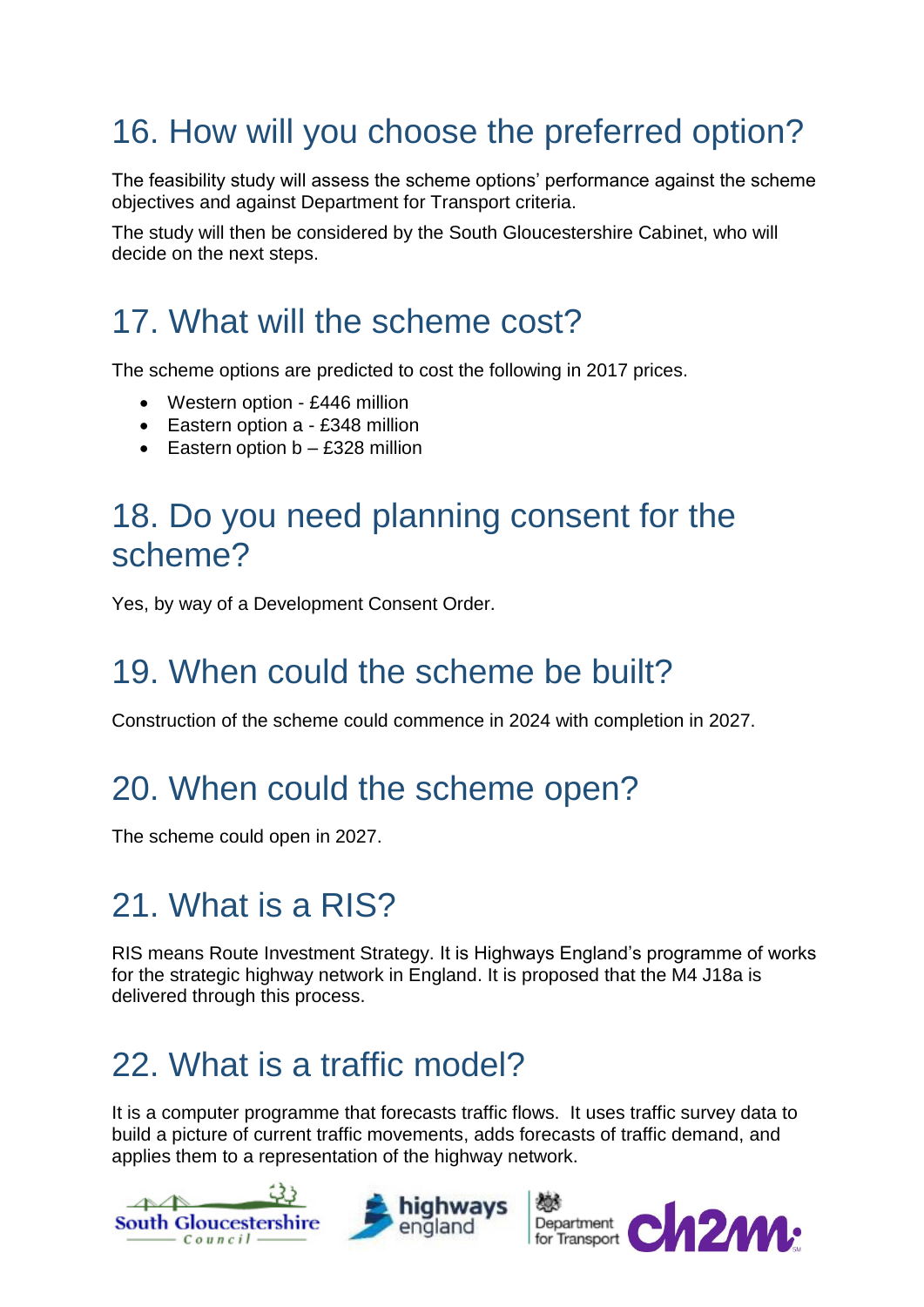## 16. How will you choose the preferred option?

The feasibility study will assess the scheme options' performance against the scheme objectives and against Department for Transport criteria.

The study will then be considered by the South Gloucestershire Cabinet, who will decide on the next steps.

#### 17. What will the scheme cost?

The scheme options are predicted to cost the following in 2017 prices.

- Western option £446 million
- Eastern option a £348 million
- **Eastern option b £328 million**

#### 18. Do you need planning consent for the scheme?

Yes, by way of a Development Consent Order.

#### 19. When could the scheme be built?

Construction of the scheme could commence in 2024 with completion in 2027.

#### 20. When could the scheme open?

The scheme could open in 2027.

## 21. What is a RIS?

RIS means Route Investment Strategy. It is Highways England's programme of works for the strategic highway network in England. It is proposed that the M4 J18a is delivered through this process.

## 22. What is a traffic model?

It is a computer programme that forecasts traffic flows. It uses traffic survey data to build a picture of current traffic movements, adds forecasts of traffic demand, and applies them to a representation of the highway network.

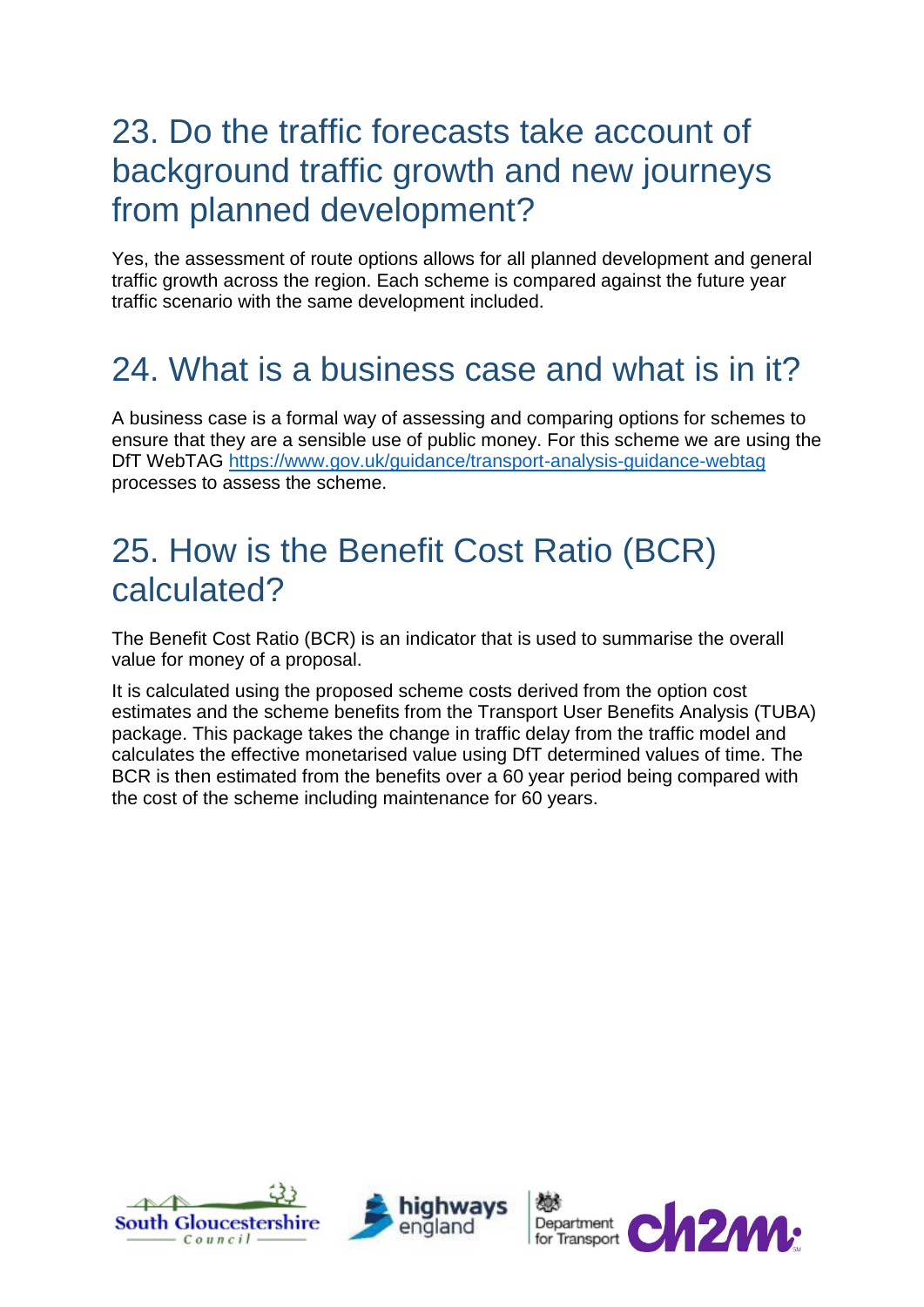#### 23. Do the traffic forecasts take account of background traffic growth and new journeys from planned development?

Yes, the assessment of route options allows for all planned development and general traffic growth across the region. Each scheme is compared against the future year traffic scenario with the same development included.

## 24. What is a business case and what is in it?

A business case is a formal way of assessing and comparing options for schemes to ensure that they are a sensible use of public money. For this scheme we are using the DfT WebTAG<https://www.gov.uk/guidance/transport-analysis-guidance-webtag> processes to assess the scheme.

#### 25. How is the Benefit Cost Ratio (BCR) calculated?

The Benefit Cost Ratio (BCR) is an indicator that is used to summarise the overall value for money of a proposal.

It is calculated using the proposed scheme costs derived from the option cost estimates and the scheme benefits from the Transport User Benefits Analysis (TUBA) package. This package takes the change in traffic delay from the traffic model and calculates the effective monetarised value using DfT determined values of time. The BCR is then estimated from the benefits over a 60 year period being compared with the cost of the scheme including maintenance for 60 years.





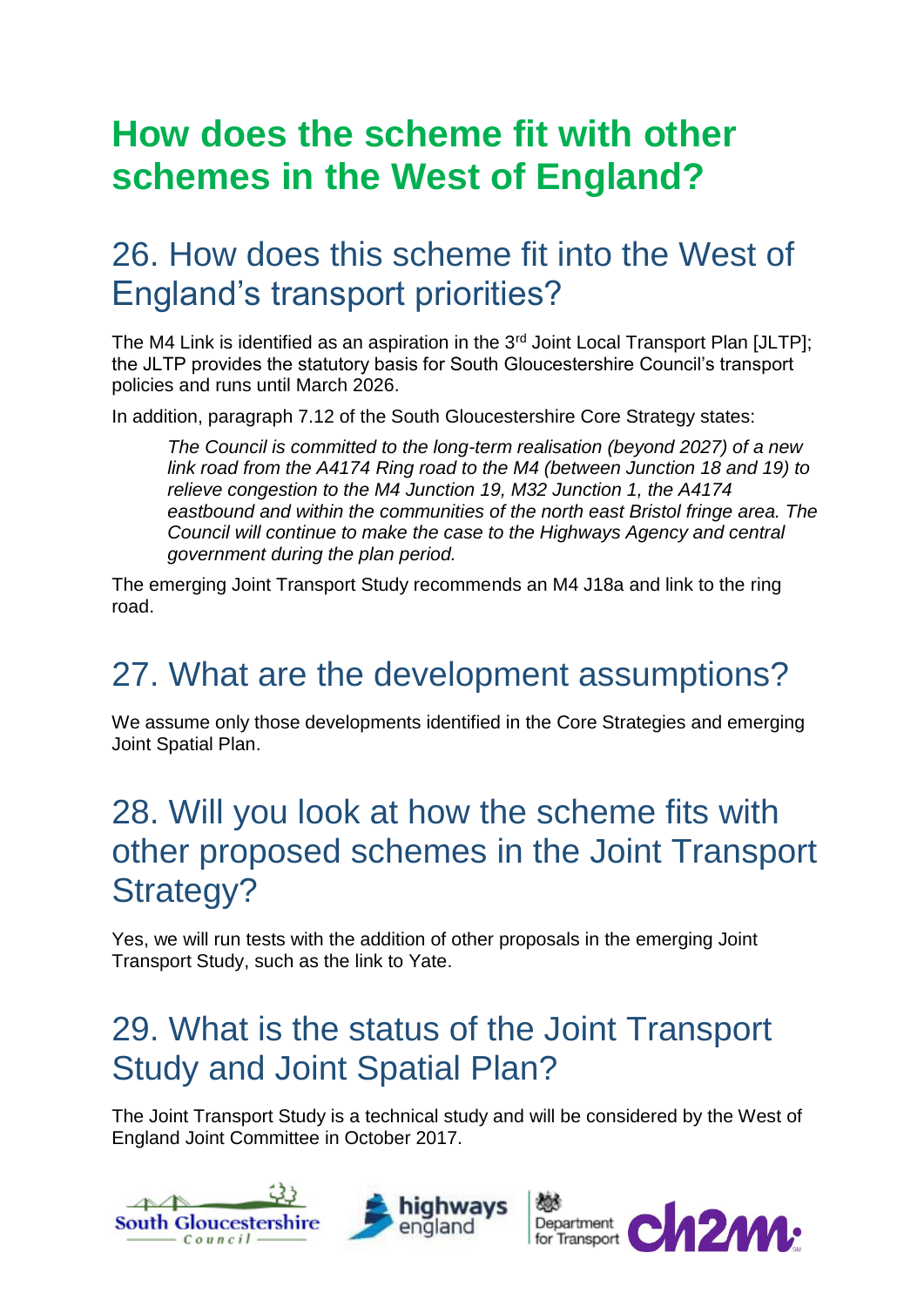## **How does the scheme fit with other schemes in the West of England?**

### 26. How does this scheme fit into the West of England's transport priorities?

The M4 Link is identified as an aspiration in the  $3<sup>rd</sup>$  Joint Local Transport Plan [JLTP]; the JLTP provides the statutory basis for South Gloucestershire Council's transport policies and runs until March 2026.

In addition, paragraph 7.12 of the South Gloucestershire Core Strategy states:

*The Council is committed to the long-term realisation (beyond 2027) of a new link road from the A4174 Ring road to the M4 (between Junction 18 and 19) to relieve congestion to the M4 Junction 19, M32 Junction 1, the A4174 eastbound and within the communities of the north east Bristol fringe area. The Council will continue to make the case to the Highways Agency and central government during the plan period.*

The emerging Joint Transport Study recommends an M4 J18a and link to the ring road.

## 27. What are the development assumptions?

We assume only those developments identified in the Core Strategies and emerging Joint Spatial Plan.

#### 28. Will you look at how the scheme fits with other proposed schemes in the Joint Transport Strategy?

Yes, we will run tests with the addition of other proposals in the emerging Joint Transport Study, such as the link to Yate.

### 29. What is the status of the Joint Transport Study and Joint Spatial Plan?

The Joint Transport Study is a technical study and will be considered by the West of England Joint Committee in October 2017.





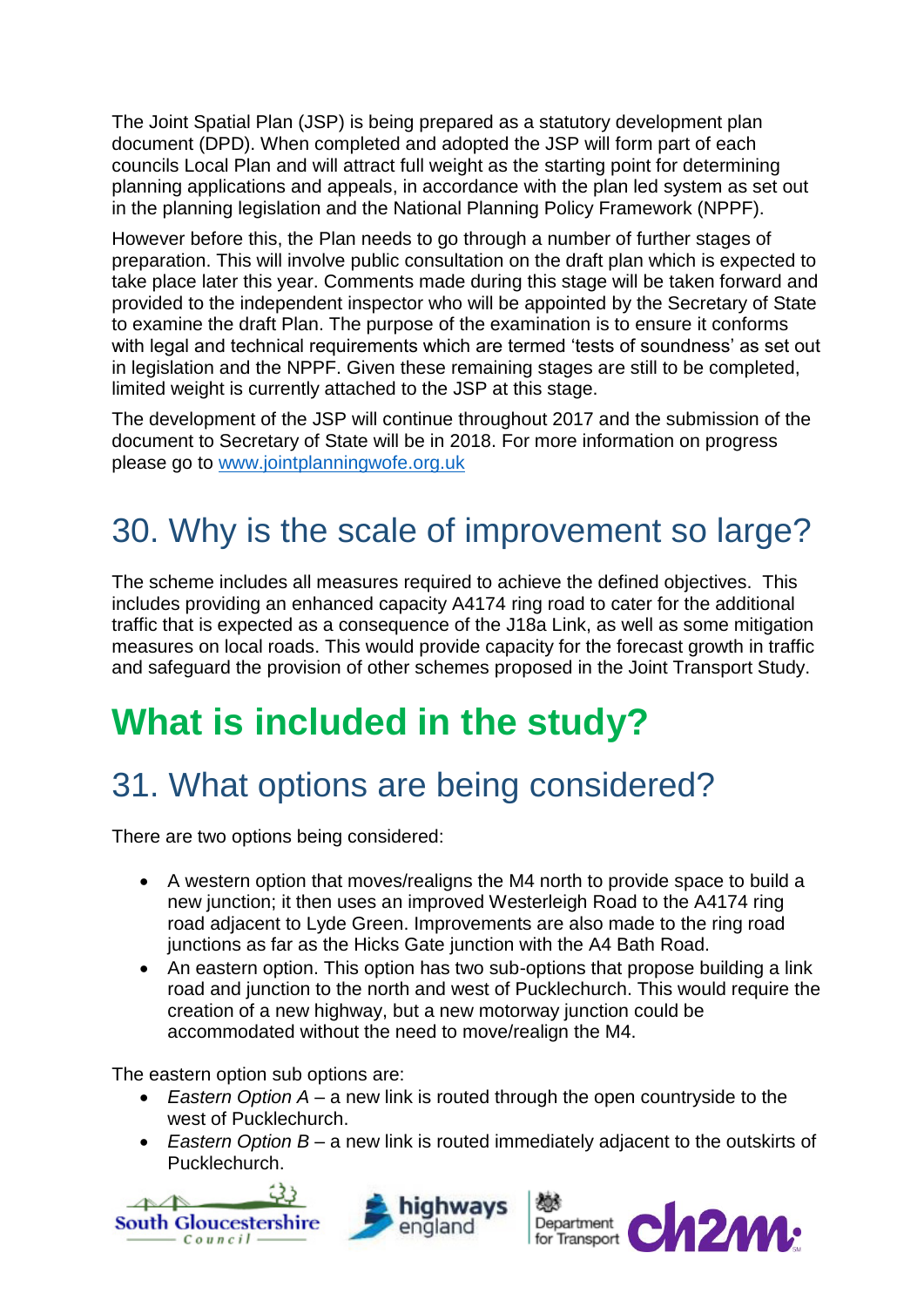The Joint Spatial Plan (JSP) is being prepared as a statutory development plan document (DPD). When completed and adopted the JSP will form part of each councils Local Plan and will attract full weight as the starting point for determining planning applications and appeals, in accordance with the plan led system as set out in the planning legislation and the National Planning Policy Framework (NPPF).

However before this, the Plan needs to go through a number of further stages of preparation. This will involve public consultation on the draft plan which is expected to take place later this year. Comments made during this stage will be taken forward and provided to the independent inspector who will be appointed by the Secretary of State to examine the draft Plan. The purpose of the examination is to ensure it conforms with legal and technical requirements which are termed 'tests of soundness' as set out in legislation and the NPPF. Given these remaining stages are still to be completed, limited weight is currently attached to the JSP at this stage.

The development of the JSP will continue throughout 2017 and the submission of the document to Secretary of State will be in 2018. For more information on progress please go to [www.jointplanningwofe.org.uk](https://urldefense.proofpoint.com/v2/url?u=http-3A__www.jointplanningwofe.org.uk&d=CwMFAg&c=1vnCWTgU_iH2bgveKnHUZ8hJXVq2EkkiN8FwZDwwznM&r=oMFtNitq_VEs2MmkAt4cgSFcY8WcOYF5brHV0R55kxg&m=0oxSkq088Bl6501E0qBQ0foOpg0Llx2KZkfKrej5-0U&s=cZZgR8h0CZr_3LRKQZEeS1wDg11LIAwz00oGjvk3JSo&e=)

### 30. Why is the scale of improvement so large?

The scheme includes all measures required to achieve the defined objectives. This includes providing an enhanced capacity A4174 ring road to cater for the additional traffic that is expected as a consequence of the J18a Link, as well as some mitigation measures on local roads. This would provide capacity for the forecast growth in traffic and safeguard the provision of other schemes proposed in the Joint Transport Study.

## **What is included in the study?**

## 31. What options are being considered?

There are two options being considered:

- A western option that moves/realigns the M4 north to provide space to build a new junction; it then uses an improved Westerleigh Road to the A4174 ring road adjacent to Lyde Green. Improvements are also made to the ring road junctions as far as the Hicks Gate junction with the A4 Bath Road.
- An eastern option. This option has two sub-options that propose building a link road and junction to the north and west of Pucklechurch. This would require the creation of a new highway, but a new motorway junction could be accommodated without the need to move/realign the M4.

The eastern option sub options are:

- *Eastern Option A*  a new link is routed through the open countryside to the west of Pucklechurch.
- *Eastern Option B*  a new link is routed immediately adjacent to the outskirts of Pucklechurch.





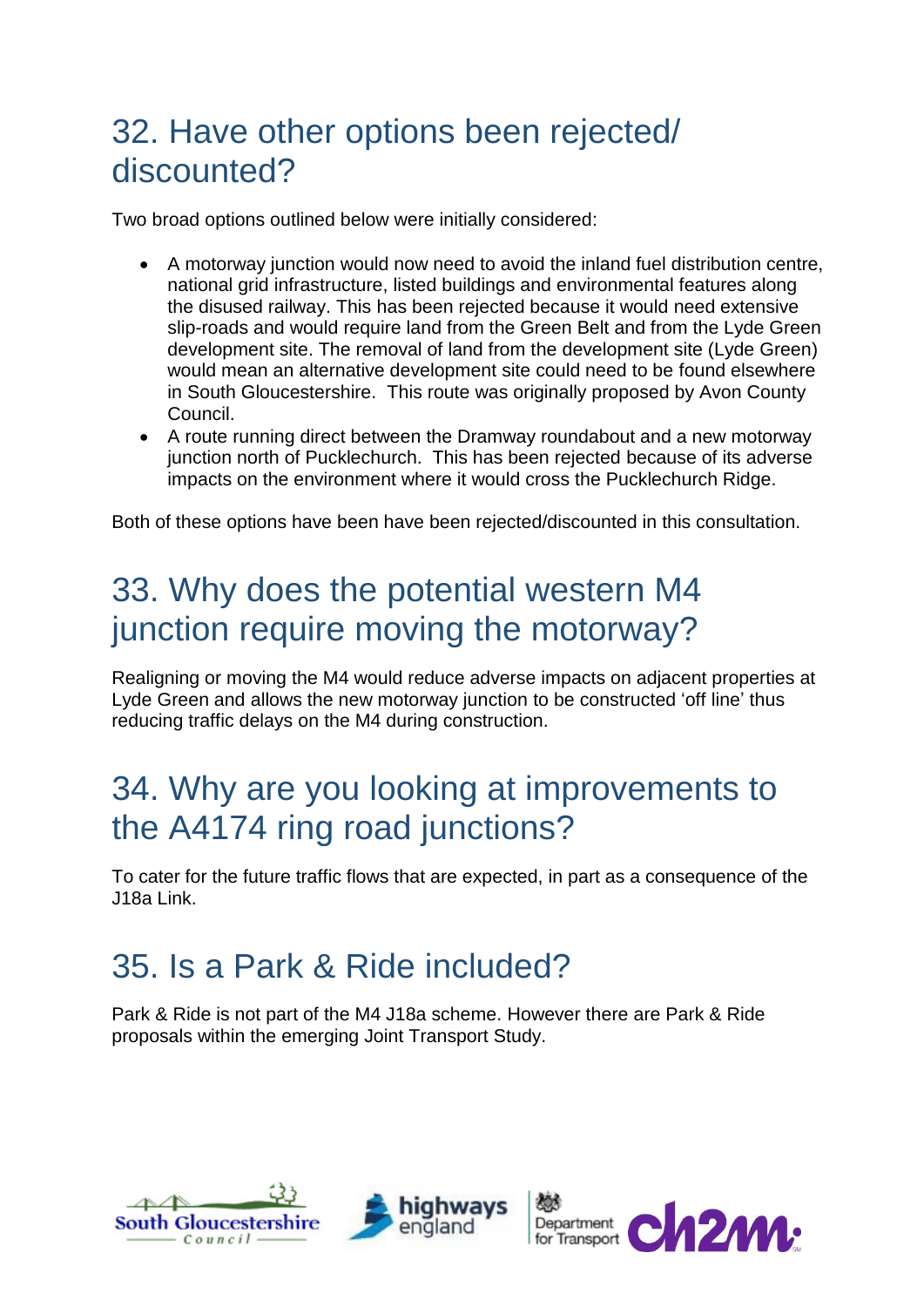#### 32. Have other options been rejected/ discounted?

Two broad options outlined below were initially considered:

- A motorway junction would now need to avoid the inland fuel distribution centre, national grid infrastructure, listed buildings and environmental features along the disused railway. This has been rejected because it would need extensive slip-roads and would require land from the Green Belt and from the Lyde Green development site. The removal of land from the development site (Lyde Green) would mean an alternative development site could need to be found elsewhere in South Gloucestershire. This route was originally proposed by Avon County Council.
- A route running direct between the Dramway roundabout and a new motorway junction north of Pucklechurch. This has been rejected because of its adverse impacts on the environment where it would cross the Pucklechurch Ridge.

Both of these options have been have been rejected/discounted in this consultation.

### 33. Why does the potential western M4 junction require moving the motorway?

Realigning or moving the M4 would reduce adverse impacts on adjacent properties at Lyde Green and allows the new motorway junction to be constructed 'off line' thus reducing traffic delays on the M4 during construction.

#### 34. Why are you looking at improvements to the A4174 ring road junctions?

To cater for the future traffic flows that are expected, in part as a consequence of the J18a Link.

## 35. Is a Park & Ride included?

Park & Ride is not part of the M4 J18a scheme. However there are Park & Ride proposals within the emerging Joint Transport Study.





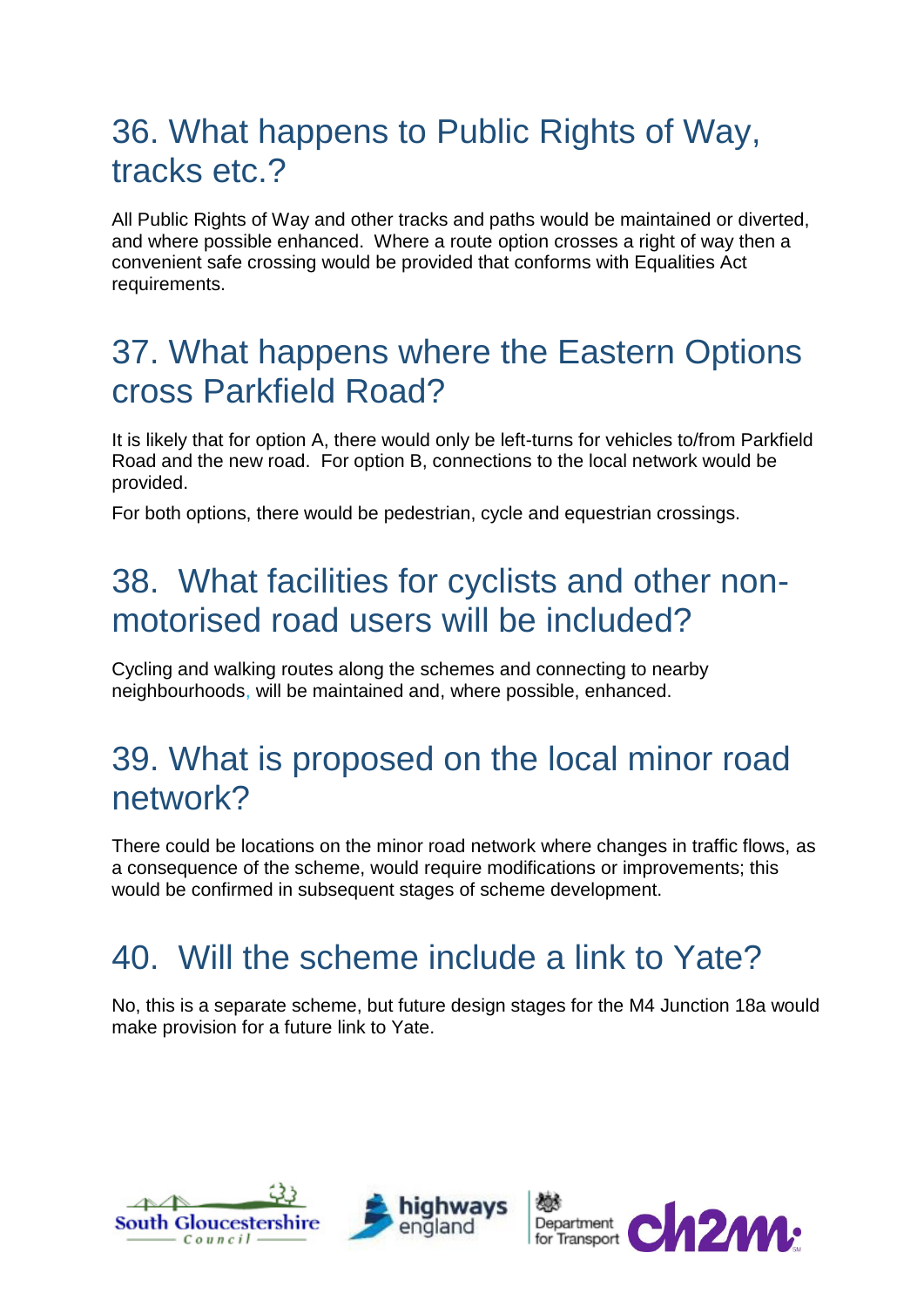#### 36. What happens to Public Rights of Way, tracks etc.?

All Public Rights of Way and other tracks and paths would be maintained or diverted, and where possible enhanced. Where a route option crosses a right of way then a convenient safe crossing would be provided that conforms with Equalities Act requirements.

#### 37. What happens where the Eastern Options cross Parkfield Road?

It is likely that for option A, there would only be left-turns for vehicles to/from Parkfield Road and the new road. For option B, connections to the local network would be provided.

For both options, there would be pedestrian, cycle and equestrian crossings.

#### 38. What facilities for cyclists and other nonmotorised road users will be included?

Cycling and walking routes along the schemes and connecting to nearby neighbourhoods, will be maintained and, where possible, enhanced.

#### 39. What is proposed on the local minor road network?

There could be locations on the minor road network where changes in traffic flows, as a consequence of the scheme, would require modifications or improvements; this would be confirmed in subsequent stages of scheme development.

## 40. Will the scheme include a link to Yate?

No, this is a separate scheme, but future design stages for the M4 Junction 18a would make provision for a future link to Yate.





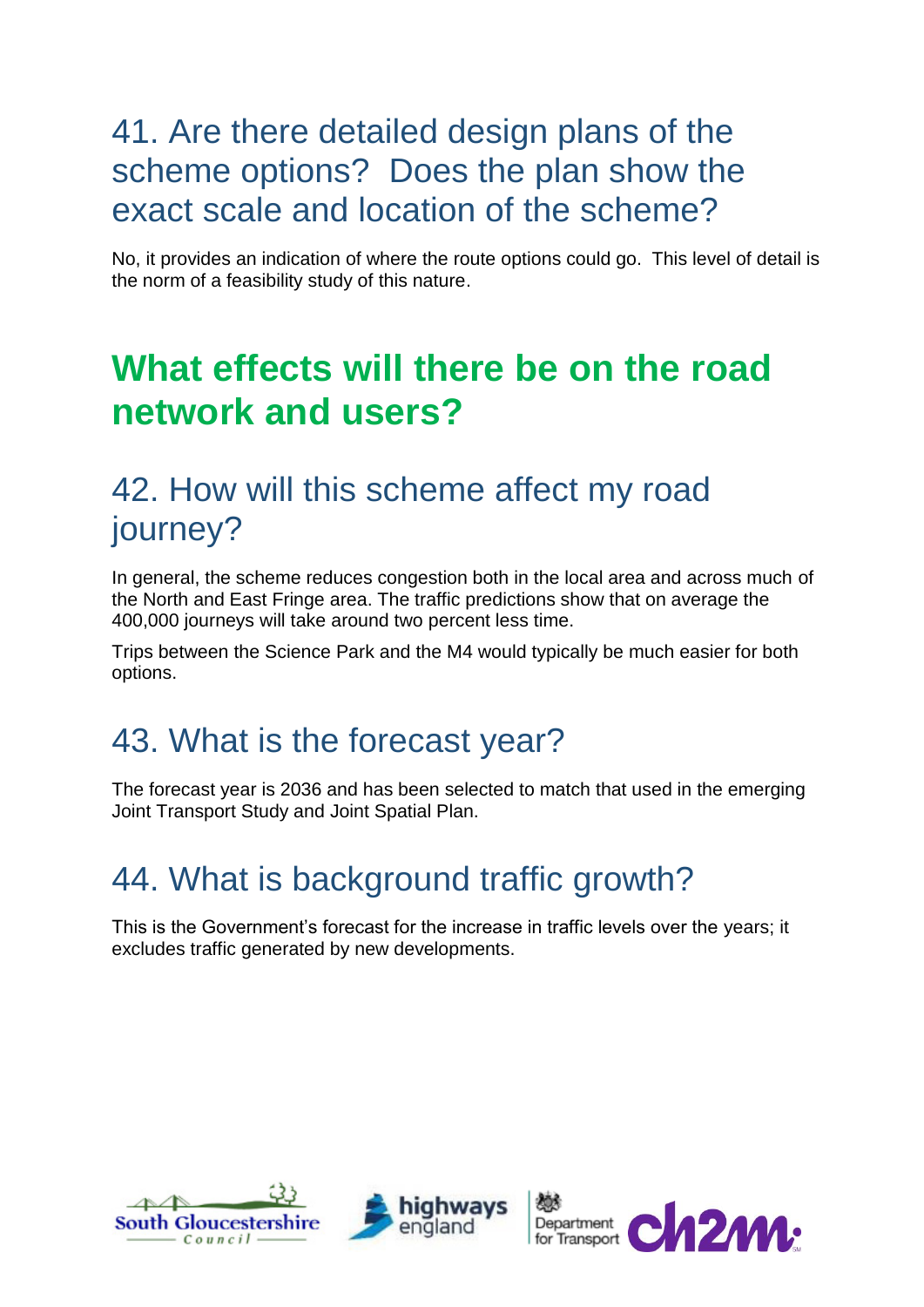#### 41. Are there detailed design plans of the scheme options? Does the plan show the exact scale and location of the scheme?

No, it provides an indication of where the route options could go. This level of detail is the norm of a feasibility study of this nature.

## **What effects will there be on the road network and users?**

#### 42. How will this scheme affect my road journey?

In general, the scheme reduces congestion both in the local area and across much of the North and East Fringe area. The traffic predictions show that on average the 400,000 journeys will take around two percent less time.

Trips between the Science Park and the M4 would typically be much easier for both options.

#### 43. What is the forecast year?

The forecast year is 2036 and has been selected to match that used in the emerging Joint Transport Study and Joint Spatial Plan.

## 44. What is background traffic growth?

This is the Government's forecast for the increase in traffic levels over the years; it excludes traffic generated by new developments.





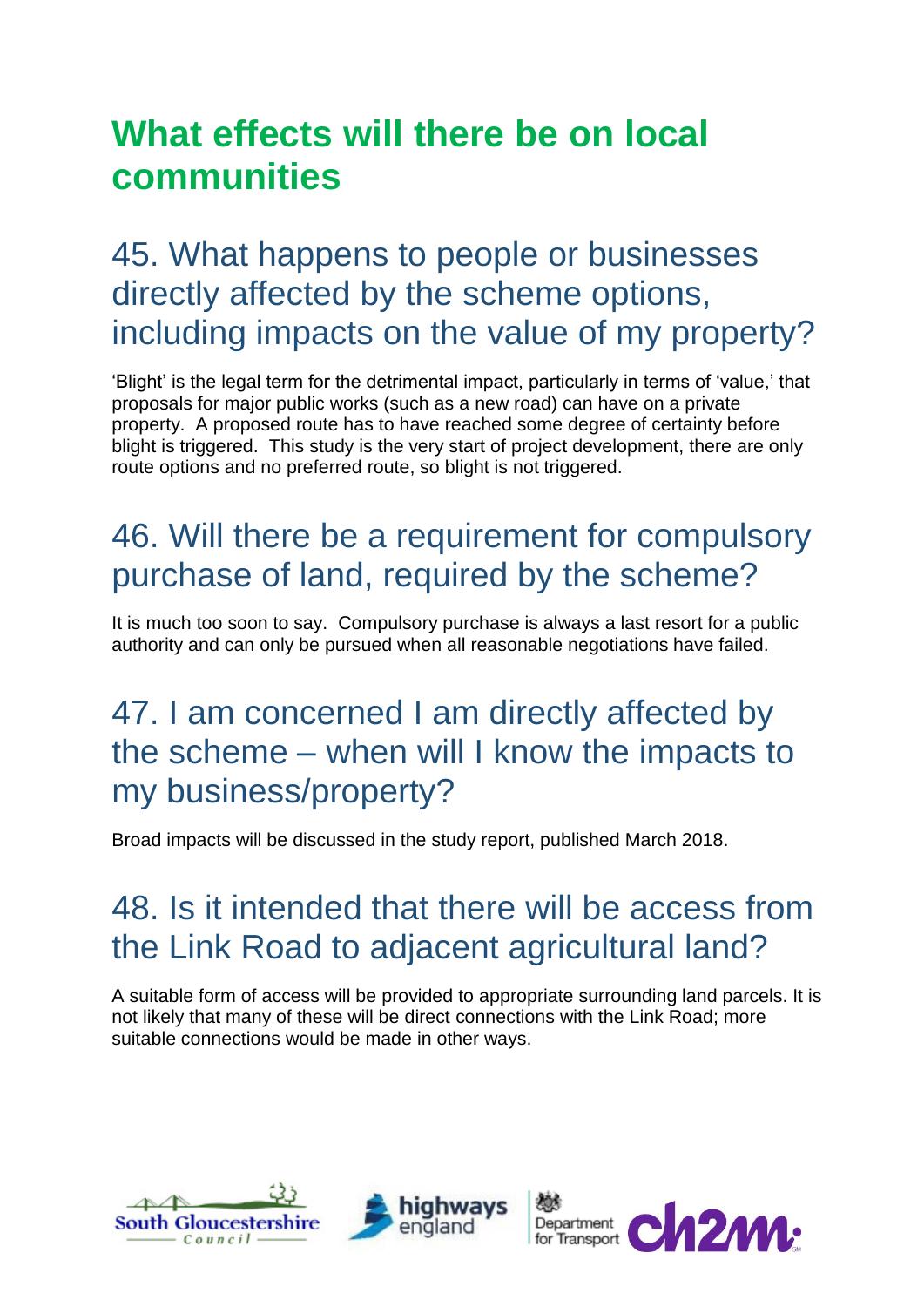## **What effects will there be on local communities**

#### 45. What happens to people or businesses directly affected by the scheme options, including impacts on the value of my property?

'Blight' is the legal term for the detrimental impact, particularly in terms of 'value,' that proposals for major public works (such as a new road) can have on a private property. A proposed route has to have reached some degree of certainty before blight is triggered. This study is the very start of project development, there are only route options and no preferred route, so blight is not triggered.

## 46. Will there be a requirement for compulsory purchase of land, required by the scheme?

It is much too soon to say. Compulsory purchase is always a last resort for a public authority and can only be pursued when all reasonable negotiations have failed.

#### 47. I am concerned I am directly affected by the scheme – when will I know the impacts to my business/property?

Broad impacts will be discussed in the study report, published March 2018.

#### 48. Is it intended that there will be access from the Link Road to adjacent agricultural land?

A suitable form of access will be provided to appropriate surrounding land parcels. It is not likely that many of these will be direct connections with the Link Road; more suitable connections would be made in other ways.





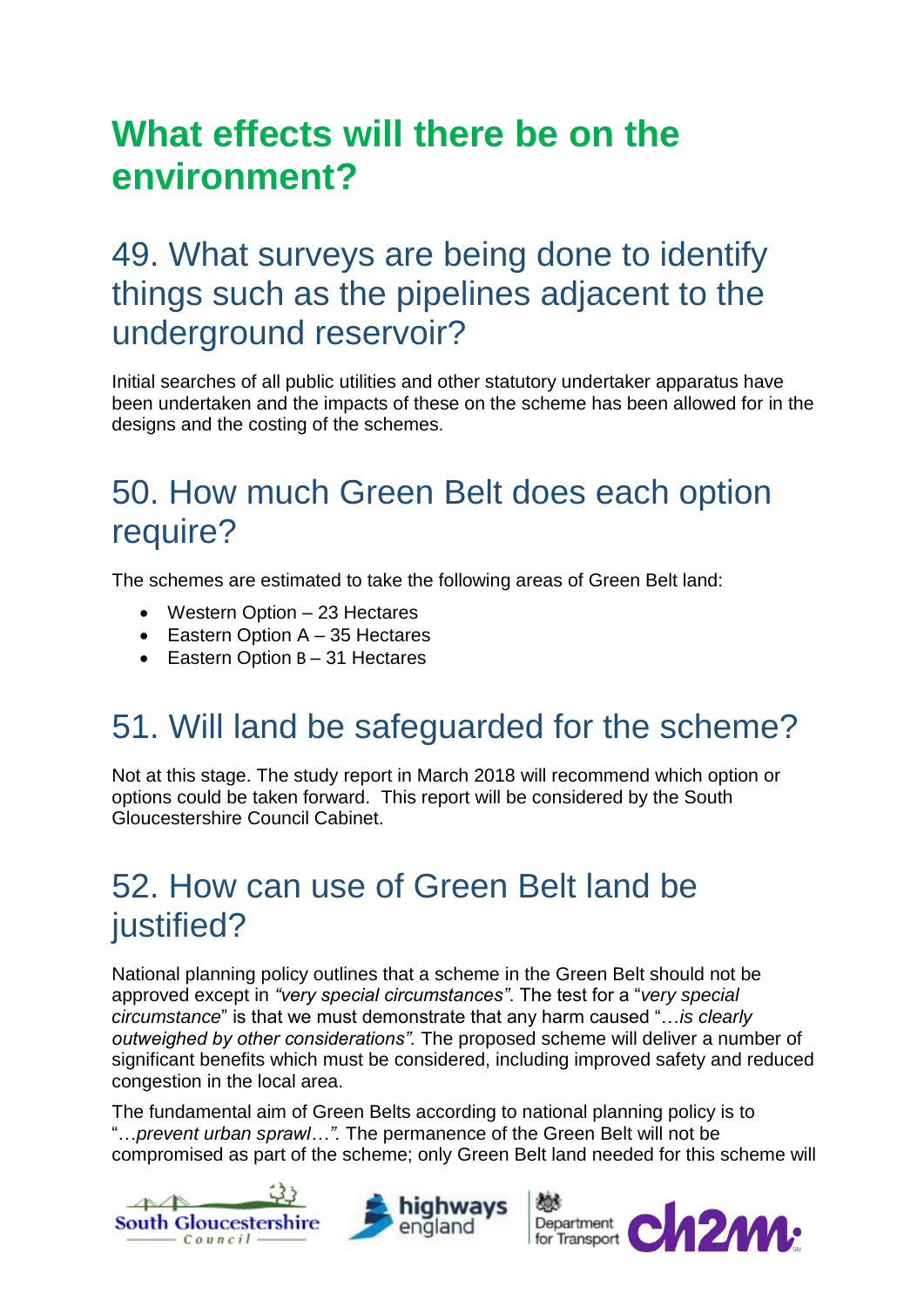## **What effects will there be on the environment?**

#### 49. What surveys are being done to identify things such as the pipelines adjacent to the underground reservoir?

Initial searches of all public utilities and other statutory undertaker apparatus have been undertaken and the impacts of these on the scheme has been allowed for in the designs and the costing of the schemes.

#### 50. How much Green Belt does each option require?

The schemes are estimated to take the following areas of Green Belt land:

- Western Option 23 Hectares
- $\bullet$  Eastern Option A 35 Hectares
- Eastern Option B 31 Hectares

## 51. Will land be safeguarded for the scheme?

Not at this stage. The study report in March 2018 will recommend which option or options could be taken forward. This report will be considered by the South Gloucestershire Council Cabinet.

#### 52. How can use of Green Belt land be justified?

National planning policy outlines that a scheme in the Green Belt should not be approved except in *"very special circumstances"*. The test for a "*very special circumstance*" is that we must demonstrate that any harm caused "…*is clearly outweighed by other considerations".* The proposed scheme will deliver a number of significant benefits which must be considered, including improved safety and reduced congestion in the local area.

The fundamental aim of Green Belts according to national planning policy is to "…*prevent urban sprawl…".* The permanence of the Green Belt will not be compromised as part of the scheme; only Green Belt land needed for this scheme will





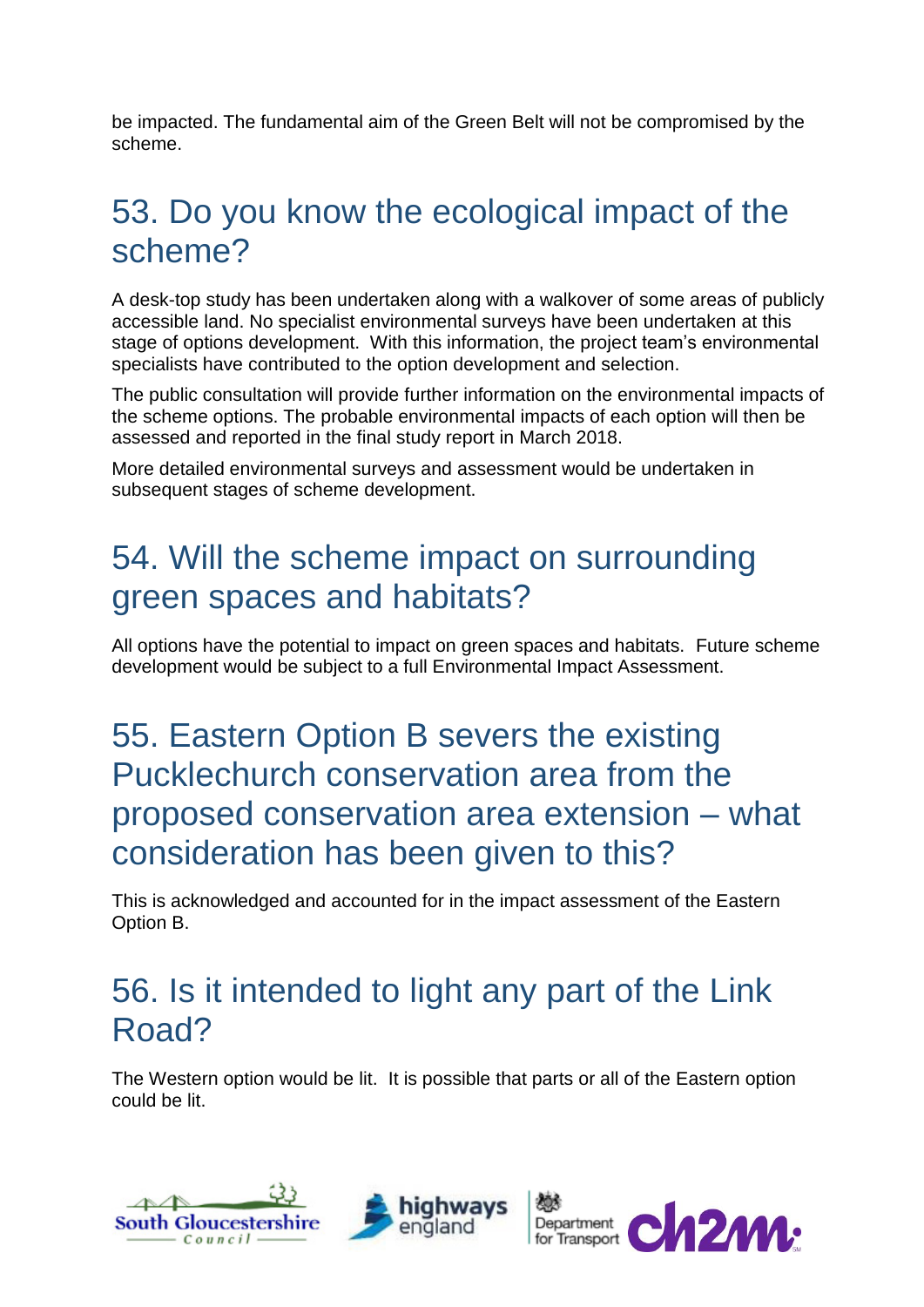be impacted. The fundamental aim of the Green Belt will not be compromised by the scheme.

#### 53. Do you know the ecological impact of the scheme?

A desk-top study has been undertaken along with a walkover of some areas of publicly accessible land. No specialist environmental surveys have been undertaken at this stage of options development. With this information, the project team's environmental specialists have contributed to the option development and selection.

The public consultation will provide further information on the environmental impacts of the scheme options. The probable environmental impacts of each option will then be assessed and reported in the final study report in March 2018.

More detailed environmental surveys and assessment would be undertaken in subsequent stages of scheme development.

#### 54. Will the scheme impact on surrounding green spaces and habitats?

All options have the potential to impact on green spaces and habitats. Future scheme development would be subject to a full Environmental Impact Assessment.

#### 55. Eastern Option B severs the existing Pucklechurch conservation area from the proposed conservation area extension – what consideration has been given to this?

This is acknowledged and accounted for in the impact assessment of the Eastern Option B.

#### 56. Is it intended to light any part of the Link Road?

The Western option would be lit. It is possible that parts or all of the Eastern option could be lit.



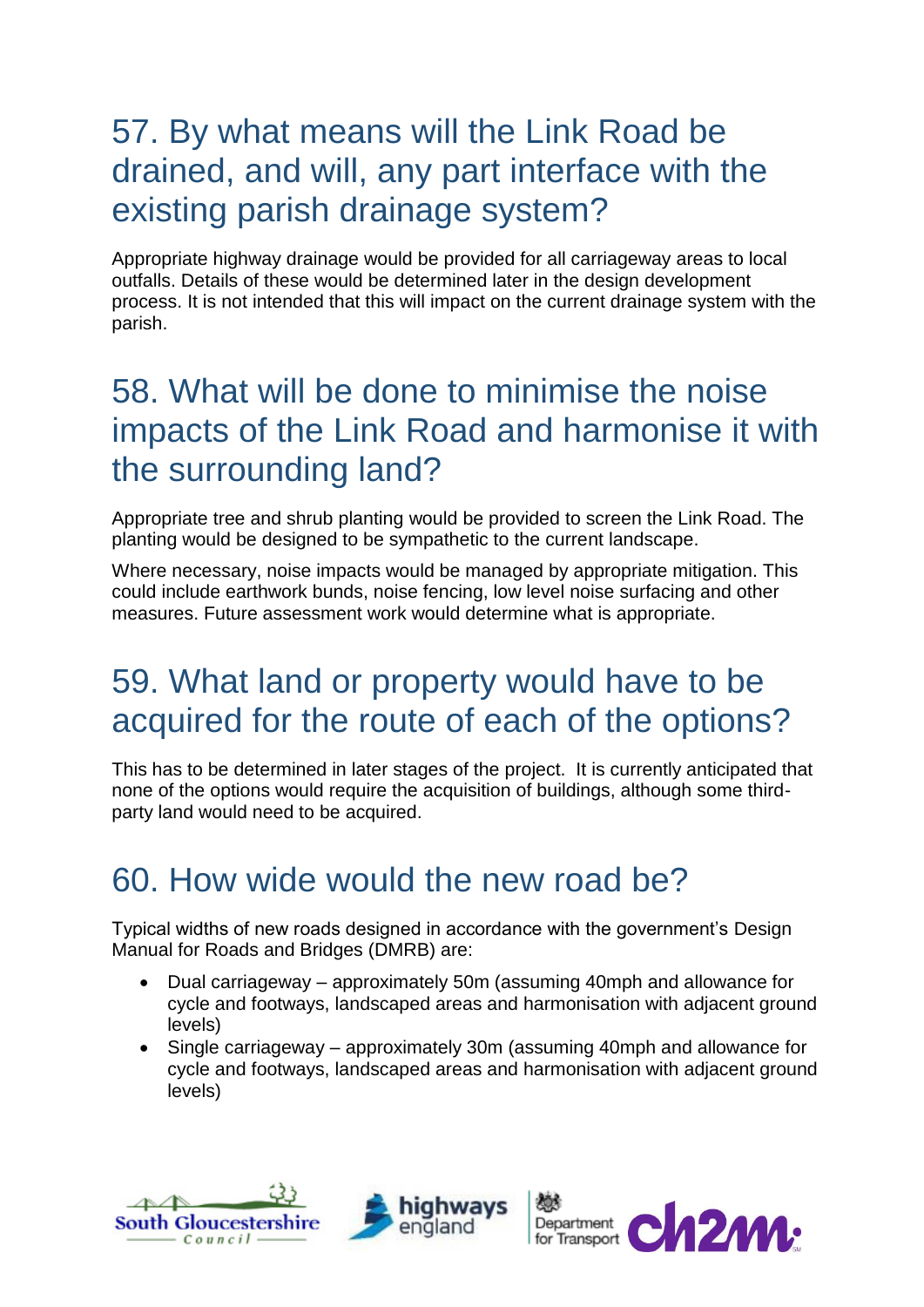#### 57. By what means will the Link Road be drained, and will, any part interface with the existing parish drainage system?

Appropriate highway drainage would be provided for all carriageway areas to local outfalls. Details of these would be determined later in the design development process. It is not intended that this will impact on the current drainage system with the parish.

#### 58. What will be done to minimise the noise impacts of the Link Road and harmonise it with the surrounding land?

Appropriate tree and shrub planting would be provided to screen the Link Road. The planting would be designed to be sympathetic to the current landscape.

Where necessary, noise impacts would be managed by appropriate mitigation. This could include earthwork bunds, noise fencing, low level noise surfacing and other measures. Future assessment work would determine what is appropriate.

#### 59. What land or property would have to be acquired for the route of each of the options?

This has to be determined in later stages of the project. It is currently anticipated that none of the options would require the acquisition of buildings, although some thirdparty land would need to be acquired.

#### 60. How wide would the new road be?

Typical widths of new roads designed in accordance with the government's Design Manual for Roads and Bridges (DMRB) are:

- Dual carriageway approximately 50m (assuming 40mph and allowance for cycle and footways, landscaped areas and harmonisation with adjacent ground levels)
- Single carriageway approximately 30m (assuming 40mph and allowance for cycle and footways, landscaped areas and harmonisation with adjacent ground levels)





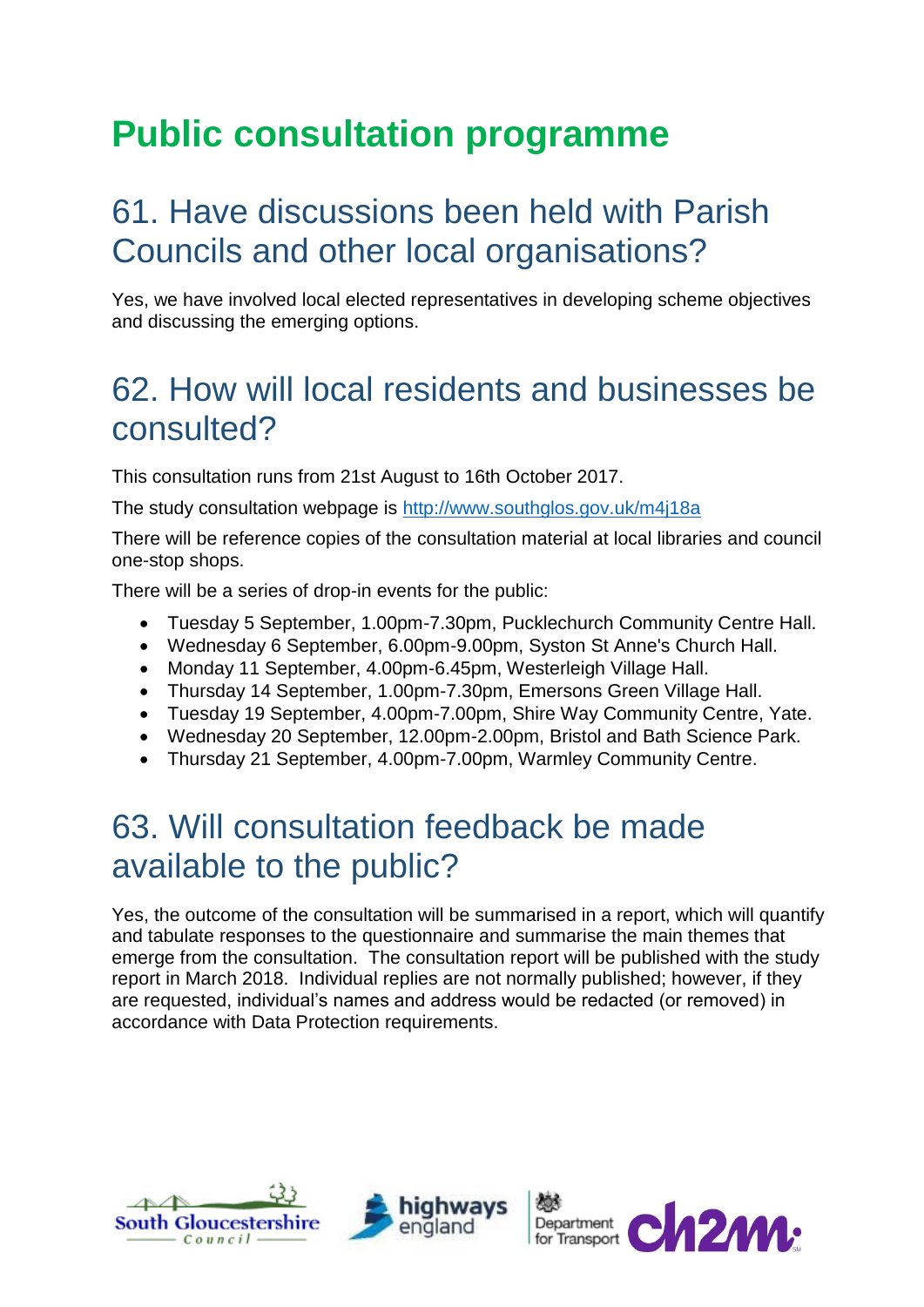## **Public consultation programme**

#### 61. Have discussions been held with Parish Councils and other local organisations?

Yes, we have involved local elected representatives in developing scheme objectives and discussing the emerging options.

#### 62. How will local residents and businesses be consulted?

This consultation runs from 21st August to 16th October 2017.

The study consultation webpage is <http://www.southglos.gov.uk/m4j18a>

There will be reference copies of the consultation material at local libraries and council one-stop shops.

There will be a series of drop-in events for the public:

- Tuesday 5 September, 1.00pm-7.30pm, Pucklechurch Community Centre Hall.
- Wednesday 6 September, 6.00pm-9.00pm, Syston St Anne's Church Hall.
- Monday 11 September, 4.00pm-6.45pm, Westerleigh Village Hall.
- Thursday 14 September, 1.00pm-7.30pm, Emersons Green Village Hall.
- Tuesday 19 September, 4.00pm-7.00pm, Shire Way Community Centre, Yate.
- Wednesday 20 September, 12.00pm-2.00pm, Bristol and Bath Science Park.
- Thursday 21 September, 4.00pm-7.00pm, Warmley Community Centre.

#### 63. Will consultation feedback be made available to the public?

Yes, the outcome of the consultation will be summarised in a report, which will quantify and tabulate responses to the questionnaire and summarise the main themes that emerge from the consultation. The consultation report will be published with the study report in March 2018. Individual replies are not normally published; however, if they are requested, individual's names and address would be redacted (or removed) in accordance with Data Protection requirements.





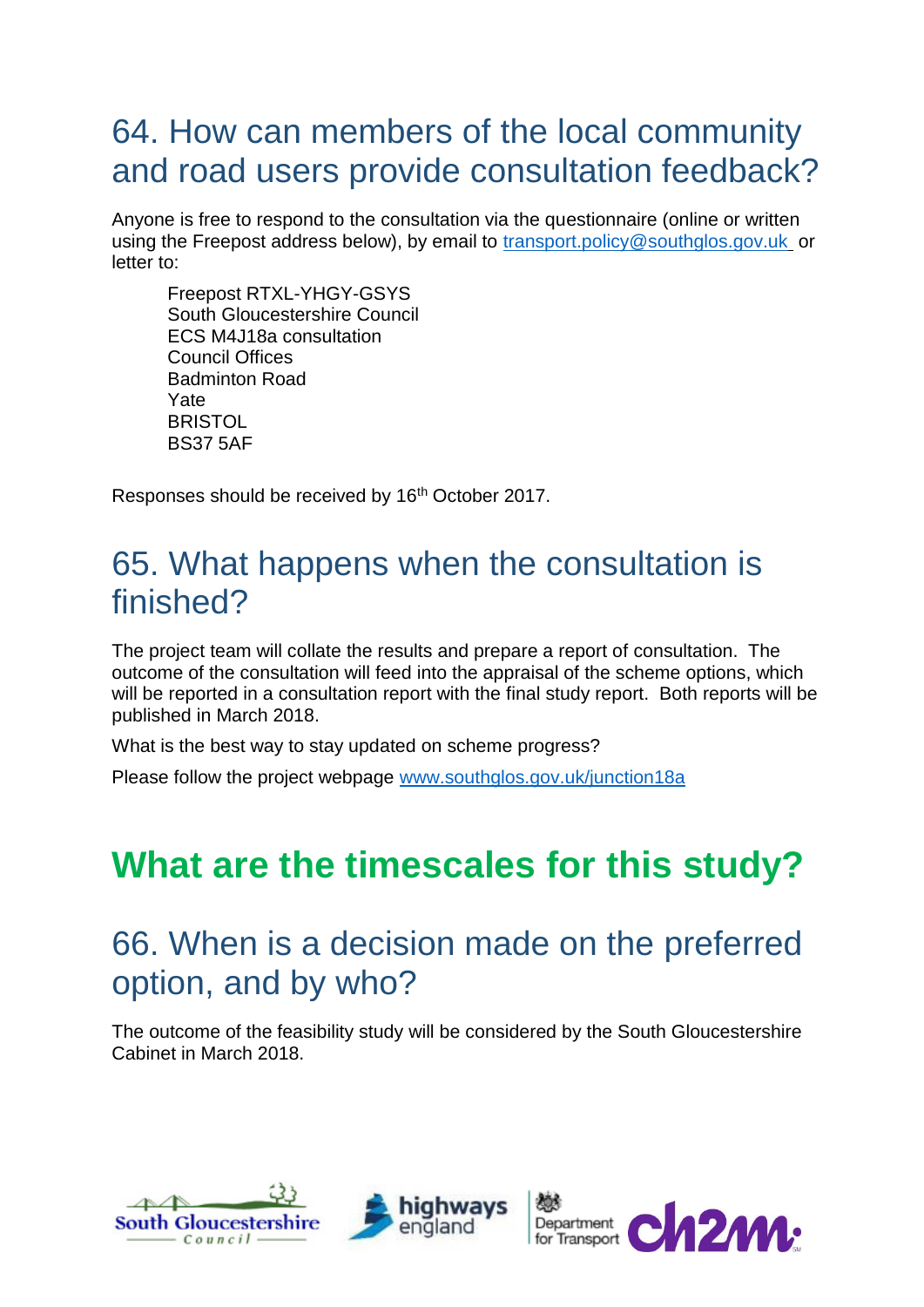#### 64. How can members of the local community and road users provide consultation feedback?

Anyone is free to respond to the consultation via the questionnaire (online or written using the Freepost address below), by email to [transport.policy@southglos.gov.uk](mailto:transport.policy@southglos.gov.uk) or letter to:

Freepost RTXL-YHGY-GSYS South Gloucestershire Council ECS M4J18a consultation Council Offices Badminton Road Yate **BRISTOL** BS37 5AF

Responses should be received by 16<sup>th</sup> October 2017.

#### 65. What happens when the consultation is finished?

The project team will collate the results and prepare a report of consultation. The outcome of the consultation will feed into the appraisal of the scheme options, which will be reported in a consultation report with the final study report. Both reports will be published in March 2018.

What is the best way to stay updated on scheme progress?

Please follow the project webpage [www.southglos.gov.uk/junction18a](http://www.southglos.gov.uk/junction18a)

## **What are the timescales for this study?**

#### 66. When is a decision made on the preferred option, and by who?

The outcome of the feasibility study will be considered by the South Gloucestershire Cabinet in March 2018.